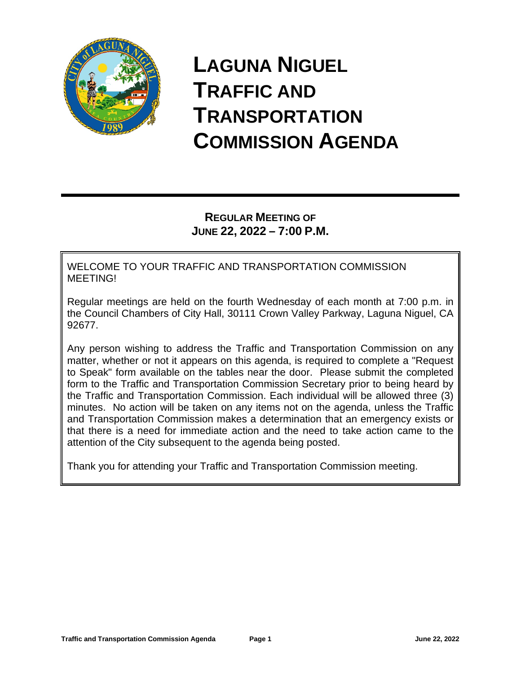

# **LAGUNA NIGUEL TRAFFIC AND TRANSPORTATION COMMISSION AGENDA**

## **REGULAR MEETING OF JUNE 22, 2022 – 7:00 P.M.**

WELCOME TO YOUR TRAFFIC AND TRANSPORTATION COMMISSION MEETING!

Regular meetings are held on the fourth Wednesday of each month at 7:00 p.m. in the Council Chambers of City Hall, 30111 Crown Valley Parkway, Laguna Niguel, CA 92677.

Any person wishing to address the Traffic and Transportation Commission on any matter, whether or not it appears on this agenda, is required to complete a "Request to Speak" form available on the tables near the door. Please submit the completed form to the Traffic and Transportation Commission Secretary prior to being heard by the Traffic and Transportation Commission. Each individual will be allowed three (3) minutes. No action will be taken on any items not on the agenda, unless the Traffic and Transportation Commission makes a determination that an emergency exists or that there is a need for immediate action and the need to take action came to the attention of the City subsequent to the agenda being posted.

Thank you for attending your Traffic and Transportation Commission meeting.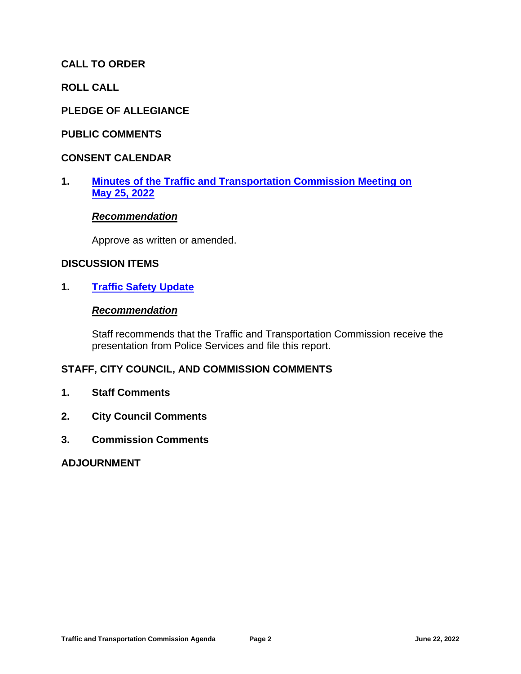## **CALL TO ORDER**

**ROLL CALL**

## **PLEDGE OF ALLEGIANCE**

## **PUBLIC COMMENTS**

### **CONSENT CALENDAR**

**1. [Minutes of the Traffic and Transportation Commission Meeting on](https://cityoflagunaniguel.org/DocumentCenter/View/22884/TC-Minutes-05-25-2022)  May [25, 2022](https://cityoflagunaniguel.org/DocumentCenter/View/22884/TC-Minutes-05-25-2022)** 

### *Recommendation*

Approve as written or amended.

## **DISCUSSION ITEMS**

## **1. [Traffic Safety Update](https://cityoflagunaniguel.org/DocumentCenter/View/22885/Traffic-Safety-Update)**

### *Recommendation*

Staff recommends that the Traffic and Transportation Commission receive the presentation from Police Services and file this report.

## **STAFF, CITY COUNCIL, AND COMMISSION COMMENTS**

- **1. Staff Comments**
- **2. City Council Comments**
- **3. Commission Comments**

#### **ADJOURNMENT**